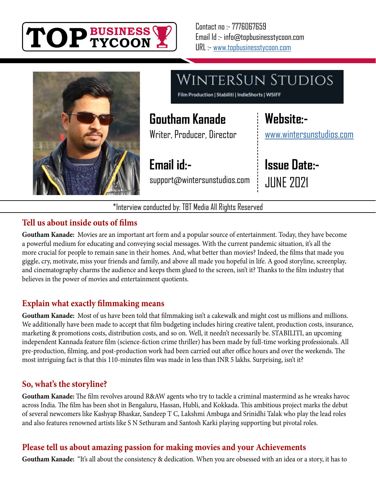



**WINTERSUN STUDIOS** 

Film Production | Stabiliti | IndieShorts | WSIFF

## **Goutham Kanade**

Writer, Producer, Director

**Email id:** support@wintersunstudios.com **Website:** [www.wintersunstudios.com](http://www.wintersunstudios.com)

**Issue Date:- JUNE 2021** 

\*Interview conducted by: TBT Media All Rights Reserved

#### **Tell us about inside outs of films**

**Goutham Kanade:** Movies are an important art form and a popular source of entertainment. Today, they have become a powerful medium for educating and conveying social messages. With the current pandemic situation, it's all the more crucial for people to remain sane in their homes. And, what better than movies? Indeed, the films that made you giggle, cry, motivate, miss your friends and family, and above all made you hopeful in life. A good storyline, screenplay, and cinematography charms the audience and keeps them glued to the screen, isn't it? Thanks to the film industry that believes in the power of movies and entertainment quotients.

#### **Explain what exactly filmmaking means**

**Goutham Kanade:** Most of us have been told that filmmaking isn't a cakewalk and might cost us millions and millions. We additionally have been made to accept that film budgeting includes hiring creative talent, production costs, insurance, marketing & promotions costs, distribution costs, and so on. Well, it needn't necessarily be. STABILITI, an upcoming independent Kannada feature film (science-fiction crime thriller) has been made by full-time working professionals. All pre-production, filming, and post-production work had been carried out after office hours and over the weekends. The most intriguing fact is that this 110-minutes film was made in less than INR 5 lakhs. Surprising, isn't it?

#### **So, what's the storyline?**

**Goutham Kanade:** The film revolves around R&AW agents who try to tackle a criminal mastermind as he wreaks havoc across India. The film has been shot in Bengaluru, Hassan, Hubli, and Kokkada. This ambitious project marks the debut of several newcomers like Kashyap Bhaskar, Sandeep T C, Lakshmi Ambuga and Srinidhi Talak who play the lead roles and also features renowned artists like S N Sethuram and Santosh Karki playing supporting but pivotal roles.

#### **Please tell us about amazing passion for making movies and your Achievements**

**Goutham Kanade:** "It's all about the consistency & dedication. When you are obsessed with an idea or a story, it has to